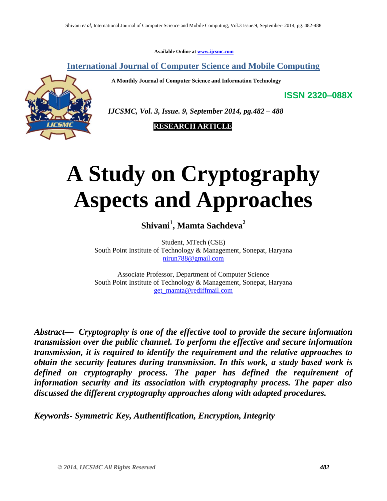**Available Online at [www.ijcsmc.com](http://www.ijcsmc.com/)**

**International Journal of Computer Science and Mobile Computing**

 **A Monthly Journal of Computer Science and Information Technology**



 *IJCSMC, Vol. 3, Issue. 9, September 2014, pg.482 – 488*

 **RESEARCH ARTICLE**

# **A Study on Cryptography Aspects and Approaches**

**Shivani<sup>1</sup> , Mamta Sachdeva<sup>2</sup>**

Student, MTech (CSE) South Point Institute of Technology & Management, Sonepat, Haryana [nirun788@gmail.com](mailto:nirun788@gmail.com)

Associate Professor, Department of Computer Science South Point Institute of Technology & Management, Sonepat, Haryana [get\\_mamta@rediffmail.com](mailto:get_mamta@rediffmail.com)

*Abstract— Cryptography is one of the effective tool to provide the secure information transmission over the public channel. To perform the effective and secure information transmission, it is required to identify the requirement and the relative approaches to obtain the security features during transmission. In this work, a study based work is defined on cryptography process. The paper has defined the requirement of information security and its association with cryptography process. The paper also discussed the different cryptography approaches along with adapted procedures.*

*Keywords- Symmetric Key, Authentification, Encryption, Integrity*

**ISSN 2320–088X**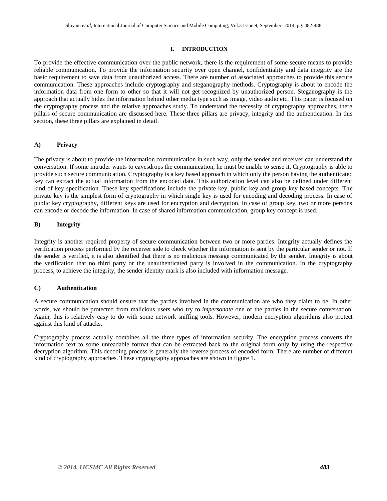#### **I. INTRODUCTION**

To provide the effective communication over the public network, there is the requirement of some secure means to provide reliable communication. To provide the information security over open channel, confidentiality and data integrity are the basic requirement to save data from unauthorized access. There are number of associated approaches to provide this secure communication. These approaches include cryptography and steganography methods. Cryptography is about to encode the information data from one form to other so that it will not get recognized by unauthorized person. Steganography is the approach that actually hides the information behind other media type such as image, video audio etc. This paper is focused on the cryptography process and the relative approaches study. To understand the necessity of cryptography approaches, there pillars of secure communication are discussed here. These three pillars are privacy, integrity and the authentication. In this section, these three pillars are explained in detail.

# **A) Privacy**

The privacy is about to provide the information communication in such way, only the sender and receiver can understand the conversation. If some intruder wants to eavesdrops the communication, he must be unable to sense it. Cryptography is able to provide such secure communication. Cryptography is a key based approach in which only the person having the authenticated key can extract the actual information from the encoded data. This authorization level can also be defined under different kind of key specification. These key specifications include the private key, public key and group key based concepts. The private key is the simplest form of cryptography in which single key is used for encoding and decoding process. In case of public key cryptography, different keys are used for encryption and decryption. In case of group key, two or more persons can encode or decode the information. In case of shared information communication, group key concept is used.

# **B) Integrity**

Integrity is another required property of secure communication between two or more parties. Integrity actually defines the verification process performed by the receiver side to check whether the information is sent by the particular sender or not. If the sender is verified, it is also identified that there is no malicious message communicated by the sender. Integrity is about the verification that no third party or the unauthenticated party is involved in the communication. In the cryptography process, to achieve the integrity, the sender identity mark is also included with information message.

# **C) Authentication**

A secure communication should ensure that the parties involved in the communication are who they claim to be. In other words, we should be protected from malicious users who try to *impersonate* one of the parties in the secure conversation. Again, this is relatively easy to do with some network sniffing tools. However, modern encryption algorithms also protect against this kind of attacks.

Cryptography process actually combines all the three types of information security. The encryption process converts the information text to some unreadable format that can be extracted back to the original form only by using the respective decryption algorithm. This decoding process is generally the reverse process of encoded form. There are number of different kind of cryptography approaches. These cryptography approaches are shown in figure 1.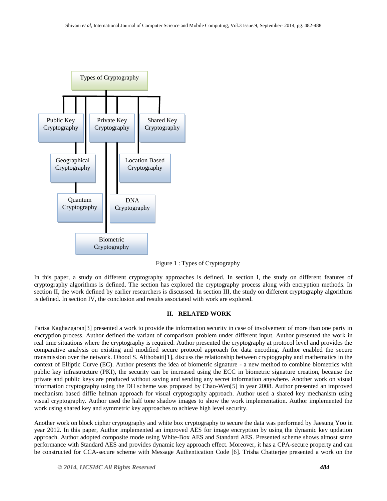

Figure 1 : Types of Cryptography

In this paper, a study on different cryptography approaches is defined. In section I, the study on different features of cryptography algorithms is defined. The section has explored the cryptography process along with encryption methods. In section II, the work defined by earlier researchers is discussed. In section III, the study on different cryptography algorithms is defined. In section IV, the conclusion and results associated with work are explored.

# **II. RELATED WORK**

Parisa Kaghazgaran[3] presented a work to provide the information security in case of involvement of more than one party in encryption process. Author defined the variant of comparison problem under different input. Author presented the work in real time situations where the cryptography is required. Author presented the cryptography at protocol level and provides the comparative analysis on existing and modified secure protocol approach for data encoding. Author enabled the secure transmission over the network. Ohood S. Althobaiti[1], discuss the relationship between cryptography and mathematics in the context of Elliptic Curve (EC). Author presents the idea of biometric signature - a new method to combine biometrics with public key infrastructure (PKI), the security can be increased using the ECC in biometric signature creation, because the private and public keys are produced without saving and sending any secret information anywhere. Another work on visual information cryptography using the DH scheme was proposed by Chao-Wen[5] in year 2008. Author presented an improved mechanism based diffie helman approach for visual cryptography approach. Author used a shared key mechanism using visual cryptography. Author used the half tone shadow images to show the work implementation. Author implemented the work using shared key and symmetric key approaches to achieve high level security.

Another work on block cipher cryptography and white box cryptography to secure the data was performed by Jaesung Yoo in year 2012. In this paper, Author implemented an improved AES for image encryption by using the dynamic key updation approach. Author adopted composite mode using White-Box AES and Standard AES. Presented scheme shows almost same performance with Standard AES and provides dynamic key approach effect. Moreover, it has a CPA-secure property and can be constructed for CCA-secure scheme with Message Authentication Code [6]. Trisha Chatterjee presented a work on the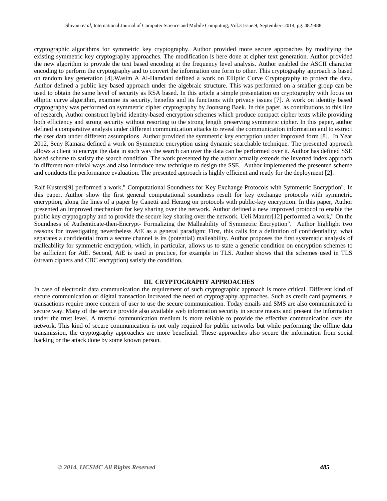cryptographic algorithms for symmetric key cryptography. Author provided more secure approaches by modifying the existing symmetric key cryptography approaches. The modification is here done at cipher text generation. Author provided the new algorithm to provide the text based encoding at the frequency level analysis. Author enabled the ASCII character encoding to perform the cryptography and to convert the information one form to other. This cryptography approach is based on random key generation [4].Wasim A Al-Hamdani defined a work on Elliptic Curve Cryptography to protect the data. Author defined a public key based approach under the algebraic structure. This was performed on a smaller group can be used to obtain the same level of security as RSA based. In this article a simple presentation on cryptography with focus on elliptic curve algorithm, examine its security, benefits and its functions with privacy issues [7]. A work on identity based cryptography was performed on symmetric cipher cryptography by Joonsang Baek. In this paper, as contributions to this line of research, Author construct hybrid identity-based encryption schemes which produce compact cipher texts while providing both efficiency and strong security without resorting to the strong length preserving symmetric cipher. In this paper, author defined a comparative analysis under different communication attacks to reveal the communication information and to extract the user data under different assumptions. Author provided the symmetric key encryption under improved form [8]. In Year 2012, Seny Kamara defined a work on Symmetric encryption using dynamic searchable technique. The presented approach allows a client to encrypt the data in such way the search can over the data can be performed over it. Author has defined SSE based scheme to satisfy the search condition. The work presented by the author actually extends the inverted index approach in different non-trivial ways and also introduce new technique to design the SSE. Author implemented the presented scheme and conducts the performance evaluation. The presented approach is highly efficient and ready for the deployment [2].

Ralf Kusters[9] performed a work," Computational Soundness for Key Exchange Protocols with Symmetric Encryption". In this paper, Author show the first general computational soundness result for key exchange protocols with symmetric encryption, along the lines of a paper by Canetti and Herzog on protocols with public-key encryption. In this paper, Author presented an improved mechanism for key sharing over the network. Author defined a new improved protocol to enable the public key cryptography and to provide the secure key sharing over the network. Ueli Maurer[12] performed a work," On the Soundness of Authenticate-then-Encrypt- Formalizing the Malleability of Symmetric Encryption". Author highlight two reasons for investigating nevertheless AtE as a general paradigm: First, this calls for a definition of confidentiality; what separates a confidential from a secure channel is its (potential) malleability. Author proposes the first systematic analysis of malleability for symmetric encryption, which, in particular, allows us to state a generic condition on encryption schemes to be sufficient for AtE. Second, AtE is used in practice, for example in TLS. Author shows that the schemes used in TLS (stream ciphers and CBC encryption) satisfy the condition.

# **III. CRYPTOGRAPHY APPROACHES**

In case of electronic data communication the requirement of such cryptographic approach is more critical. Different kind of secure communication or digital transaction increased the need of cryptography approaches. Such as credit card payments, e transactions require more concern of user to use the secure communication. Today emails and SMS are also communicated in secure way. Many of the service provide also available web information security in secure means and present the information under the trust level. A trustful communication medium is more reliable to provide the effective communication over the network. This kind of secure communication is not only required for public networks but while performing the offline data transmission, the cryptography approaches are more beneficial. These approaches also secure the information from social hacking or the attack done by some known person.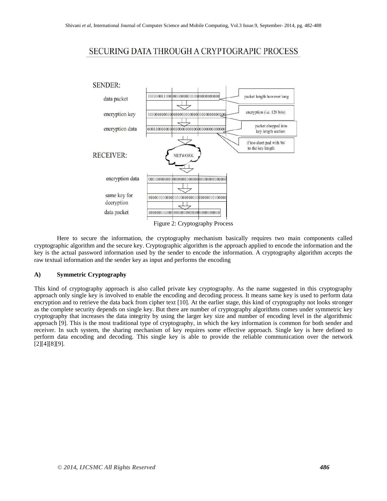# SECURING DATA THROUGH A CRYPTOGRAPIC PROCESS



Here to secure the information, the cryptography mechanism basically requires two main components called cryptographic algorithm and the secure key. Cryptographic algorithm is the approach applied to encode the information and the key is the actual password information used by the sender to encode the information. A cryptography algorithm accepts the raw textual information and the sender key as input and performs the encoding

## **A) Symmetric Cryptography**

This kind of cryptography approach is also called private key cryptography. As the name suggested in this cryptography approach only single key is involved to enable the encoding and decoding process. It means same key is used to perform data encryption and to retrieve the data back from cipher text [10]. At the earlier stage, this kind of cryptography not looks stronger as the complete security depends on single key. But there are number of cryptography algorithms comes under symmetric key cryptography that increases the data integrity by using the larger key size and number of encoding level in the algorithmic approach [9]. This is the most traditional type of cryptography, in which the key information is common for both sender and receiver. In such system, the sharing mechanism of key requires some effective approach. Single key is here defined to perform data encoding and decoding. This single key is able to provide the reliable communication over the network [2][4][8][9].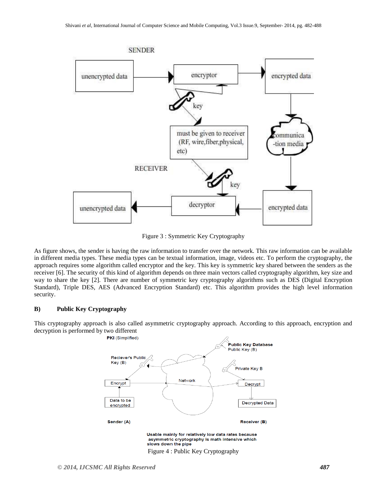

Figure 3 : Symmetric Key Cryptography

As figure shows, the sender is having the raw information to transfer over the network. This raw information can be available in different media types. These media types can be textual information, image, videos etc. To perform the cryptography, the approach requires some algorithm called encryptor and the key. This key is symmetric key shared between the senders as the receiver [6]. The security of this kind of algorithm depends on three main vectors called cryptography algorithm, key size and way to share the key [2]. There are number of symmetric key cryptography algorithms such as DES (Digital Encryption Standard), Triple DES, AES (Advanced Encryption Standard) etc. This algorithm provides the high level information security.

#### **B) Public Key Cryptography**

This cryptography approach is also called asymmetric cryptography approach. According to this approach, encryption and decryption is performed by two different<br>**PKI** (Simplified)



Figure 4 : Public Key Cryptography